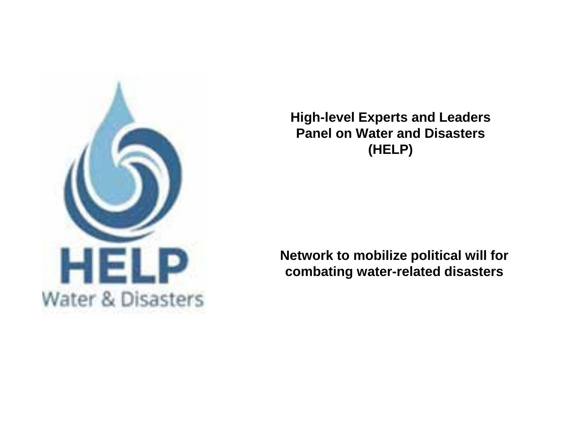

**High-level Experts and Leaders Panel on Water and Disasters (HELP)**

**Network to mobilize political will for combating water-related disasters**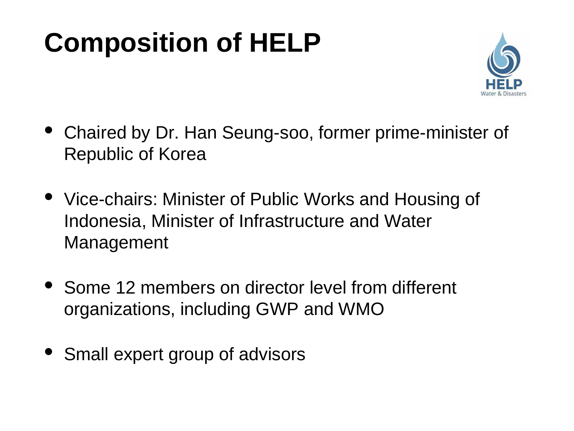## **Composition of HELP**



- Chaired by Dr. Han Seung-soo, former prime-minister of Republic of Korea
- Vice-chairs: Minister of Public Works and Housing of Indonesia, Minister of Infrastructure and Water Management
- Some 12 members on director level from different organizations, including GWP and WMO
- Small expert group of advisors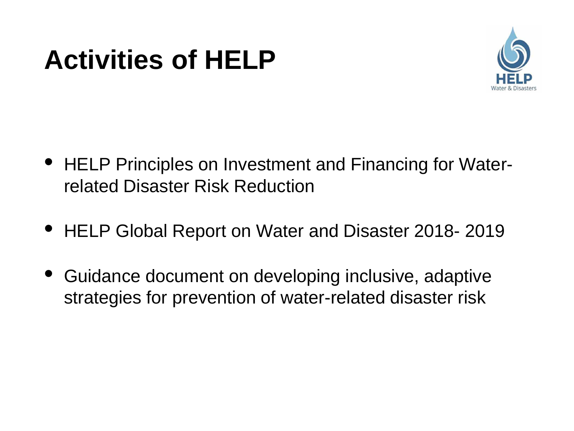## **Activities of HELP**



- HELP Principles on Investment and Financing for Waterrelated Disaster Risk Reduction
- HELP Global Report on Water and Disaster 2018- <sup>2019</sup>
- Guidance document on developing inclusive, adaptive strategies for prevention of water-related disaster risk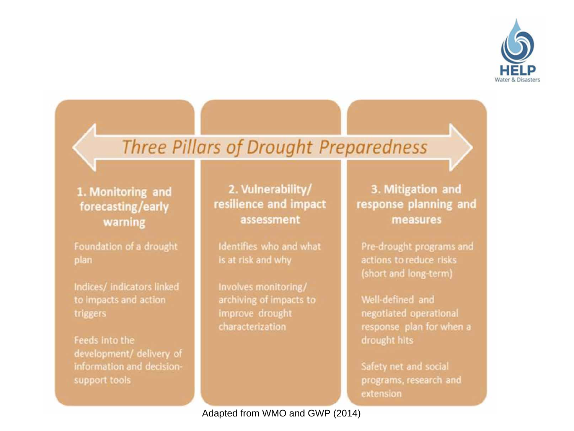

## Three Pillars of Drought Preparedness

1. Monitoring and forecasting/early warning

Foundation of a drought plan

Indices/ indicators linked to impacts and action triggers

Feeds into the development/ delivery of information and decisionsupport tools

2. Vulnerability/ resilience and impact assessment

Identifies who and what is at risk and why

Involves monitoring/ archiving of impacts to **Improve drought** characterization

3. Mitigation and response planning and measures

Pre-drought programs and actions to reduce risks (short and long-term)

Well-defined and negotiated operational response plan for when a drought hits

Safety net and social programs, research and extension

Adapted from WMO and GWP (2014)